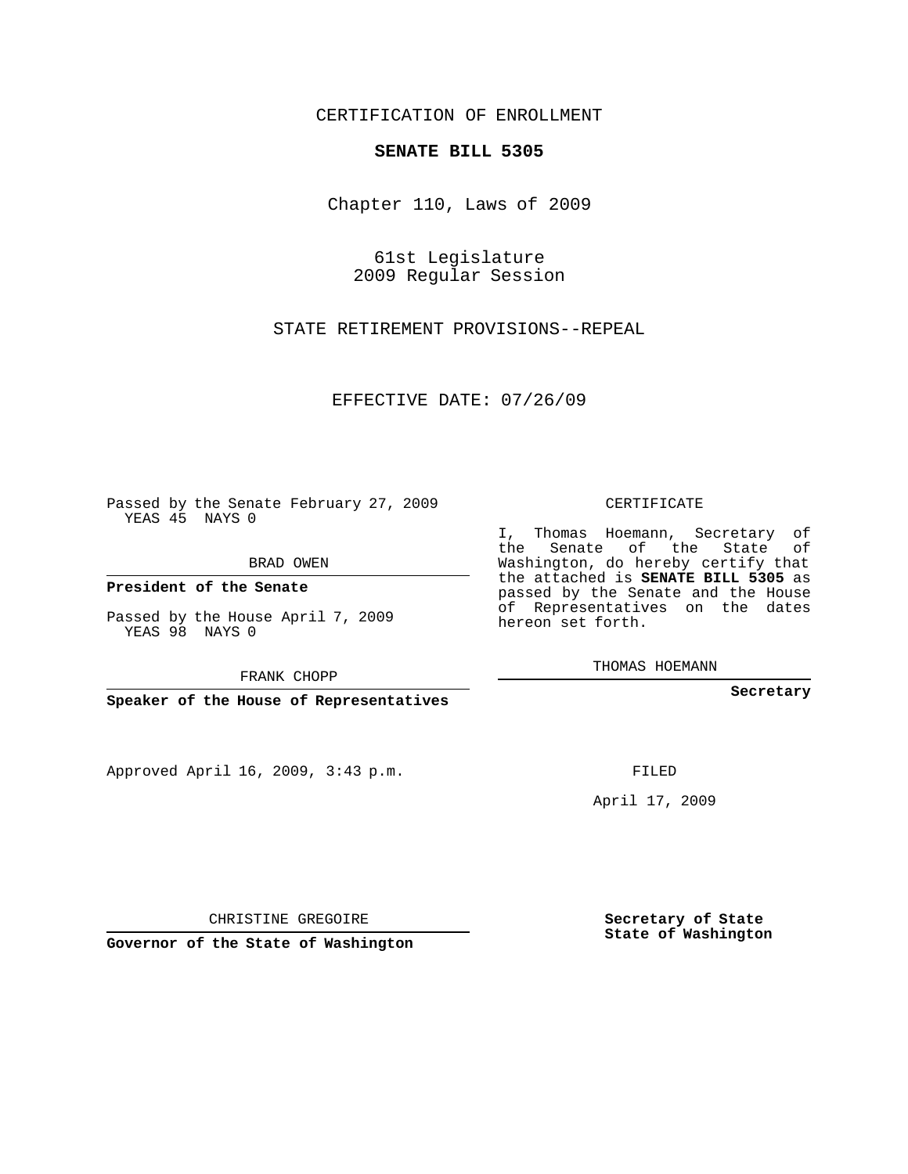## CERTIFICATION OF ENROLLMENT

## **SENATE BILL 5305**

Chapter 110, Laws of 2009

61st Legislature 2009 Regular Session

STATE RETIREMENT PROVISIONS--REPEAL

EFFECTIVE DATE: 07/26/09

Passed by the Senate February 27, 2009 YEAS 45 NAYS 0

BRAD OWEN

**President of the Senate**

Passed by the House April 7, 2009 YEAS 98 NAYS 0

FRANK CHOPP

**Speaker of the House of Representatives**

Approved April 16, 2009, 3:43 p.m.

CERTIFICATE

I, Thomas Hoemann, Secretary of the Senate of the State of Washington, do hereby certify that the attached is **SENATE BILL 5305** as passed by the Senate and the House of Representatives on the dates hereon set forth.

THOMAS HOEMANN

**Secretary**

FILED

April 17, 2009

CHRISTINE GREGOIRE

**Governor of the State of Washington**

**Secretary of State State of Washington**